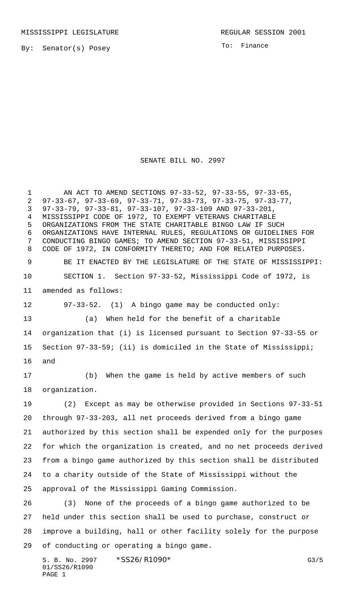By: Senator(s) Posey

To: Finance

SENATE BILL NO. 2997

 AN ACT TO AMEND SECTIONS 97-33-52, 97-33-55, 97-33-65, 97-33-67, 97-33-69, 97-33-71, 97-33-73, 97-33-75, 97-33-77, 97-33-79, 97-33-81, 97-33-107, 97-33-109 AND 97-33-201, MISSISSIPPI CODE OF 1972, TO EXEMPT VETERANS CHARITABLE ORGANIZATIONS FROM THE STATE CHARITABLE BINGO LAW IF SUCH ORGANIZATIONS HAVE INTERNAL RULES, REGULATIONS OR GUIDELINES FOR CONDUCTING BINGO GAMES; TO AMEND SECTION 97-33-51, MISSISSIPPI CODE OF 1972, IN CONFORMITY THERETO; AND FOR RELATED PURPOSES. BE IT ENACTED BY THE LEGISLATURE OF THE STATE OF MISSISSIPPI: SECTION 1. Section 97-33-52, Mississippi Code of 1972, is amended as follows: 97-33-52. (1) A bingo game may be conducted only: (a) When held for the benefit of a charitable organization that (i) is licensed pursuant to Section 97-33-55 or Section 97-33-59; (ii) is domiciled in the State of Mississippi; and (b) When the game is held by active members of such organization. (2) Except as may be otherwise provided in Sections 97-33-51 through 97-33-203, all net proceeds derived from a bingo game authorized by this section shall be expended only for the purposes for which the organization is created, and no net proceeds derived from a bingo game authorized by this section shall be distributed to a charity outside of the State of Mississippi without the approval of the Mississippi Gaming Commission. (3) None of the proceeds of a bingo game authorized to be held under this section shall be used to purchase, construct or improve a building, hall or other facility solely for the purpose of conducting or operating a bingo game.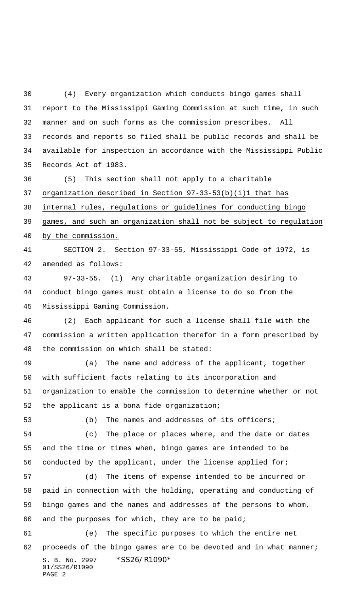(4) Every organization which conducts bingo games shall report to the Mississippi Gaming Commission at such time, in such manner and on such forms as the commission prescribes. All records and reports so filed shall be public records and shall be available for inspection in accordance with the Mississippi Public Records Act of 1983.

 (5) This section shall not apply to a charitable organization described in Section 97-33-53(b)(i)1 that has internal rules, regulations or guidelines for conducting bingo games, and such an organization shall not be subject to regulation by the commission.

 SECTION 2. Section 97-33-55, Mississippi Code of 1972, is amended as follows:

 97-33-55. (1) Any charitable organization desiring to conduct bingo games must obtain a license to do so from the Mississippi Gaming Commission.

 (2) Each applicant for such a license shall file with the commission a written application therefor in a form prescribed by the commission on which shall be stated:

 (a) The name and address of the applicant, together with sufficient facts relating to its incorporation and organization to enable the commission to determine whether or not the applicant is a bona fide organization;

(b) The names and addresses of its officers;

 (c) The place or places where, and the date or dates and the time or times when, bingo games are intended to be conducted by the applicant, under the license applied for;

 (d) The items of expense intended to be incurred or paid in connection with the holding, operating and conducting of bingo games and the names and addresses of the persons to whom, and the purposes for which, they are to be paid;

S. B. No. 2997 \*SS26/R1090\* 01/SS26/R1090 PAGE 2 (e) The specific purposes to which the entire net 62 proceeds of the bingo games are to be devoted and in what manner;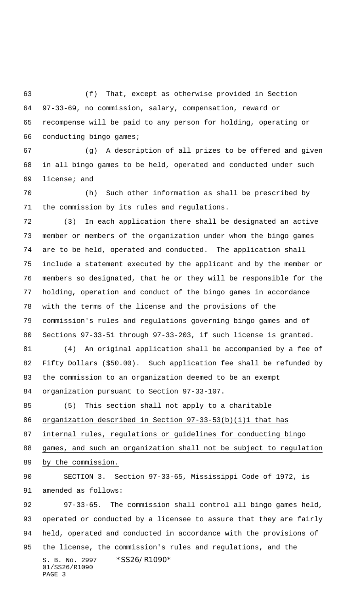(f) That, except as otherwise provided in Section 97-33-69, no commission, salary, compensation, reward or recompense will be paid to any person for holding, operating or conducting bingo games;

 (g) A description of all prizes to be offered and given in all bingo games to be held, operated and conducted under such license; and

 (h) Such other information as shall be prescribed by the commission by its rules and regulations.

 (3) In each application there shall be designated an active member or members of the organization under whom the bingo games are to be held, operated and conducted. The application shall include a statement executed by the applicant and by the member or members so designated, that he or they will be responsible for the holding, operation and conduct of the bingo games in accordance with the terms of the license and the provisions of the commission's rules and regulations governing bingo games and of Sections 97-33-51 through 97-33-203, if such license is granted.

 (4) An original application shall be accompanied by a fee of Fifty Dollars (\$50.00). Such application fee shall be refunded by the commission to an organization deemed to be an exempt organization pursuant to Section 97-33-107.

(5) This section shall not apply to a charitable

organization described in Section 97-33-53(b)(i)1 that has

internal rules, regulations or guidelines for conducting bingo

games, and such an organization shall not be subject to regulation

by the commission.

 SECTION 3. Section 97-33-65, Mississippi Code of 1972, is amended as follows:

S. B. No. 2997 \* SS26/R1090\* 01/SS26/R1090 PAGE 3 97-33-65. The commission shall control all bingo games held, operated or conducted by a licensee to assure that they are fairly held, operated and conducted in accordance with the provisions of the license, the commission's rules and regulations, and the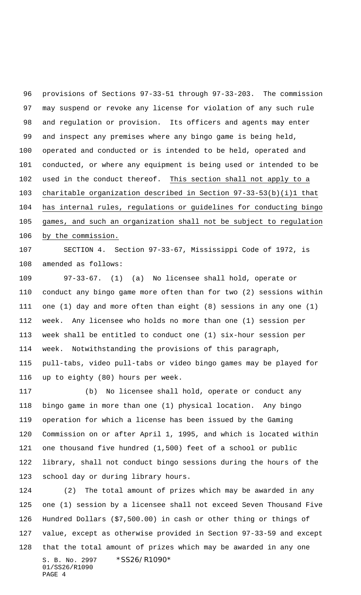provisions of Sections 97-33-51 through 97-33-203. The commission may suspend or revoke any license for violation of any such rule and regulation or provision. Its officers and agents may enter and inspect any premises where any bingo game is being held, operated and conducted or is intended to be held, operated and conducted, or where any equipment is being used or intended to be used in the conduct thereof. This section shall not apply to a charitable organization described in Section 97-33-53(b)(i)1 that has internal rules, regulations or guidelines for conducting bingo games, and such an organization shall not be subject to regulation by the commission.

 SECTION 4. Section 97-33-67, Mississippi Code of 1972, is amended as follows:

 97-33-67. (1) (a) No licensee shall hold, operate or conduct any bingo game more often than for two (2) sessions within one (1) day and more often than eight (8) sessions in any one (1) week. Any licensee who holds no more than one (1) session per week shall be entitled to conduct one (1) six-hour session per week. Notwithstanding the provisions of this paragraph, pull-tabs, video pull-tabs or video bingo games may be played for up to eighty (80) hours per week.

 (b) No licensee shall hold, operate or conduct any bingo game in more than one (1) physical location. Any bingo operation for which a license has been issued by the Gaming Commission on or after April 1, 1995, and which is located within one thousand five hundred (1,500) feet of a school or public library, shall not conduct bingo sessions during the hours of the school day or during library hours.

S. B. No. 2997 \*SS26/R1090\* 01/SS26/R1090 PAGE 4 (2) The total amount of prizes which may be awarded in any one (1) session by a licensee shall not exceed Seven Thousand Five Hundred Dollars (\$7,500.00) in cash or other thing or things of value, except as otherwise provided in Section 97-33-59 and except that the total amount of prizes which may be awarded in any one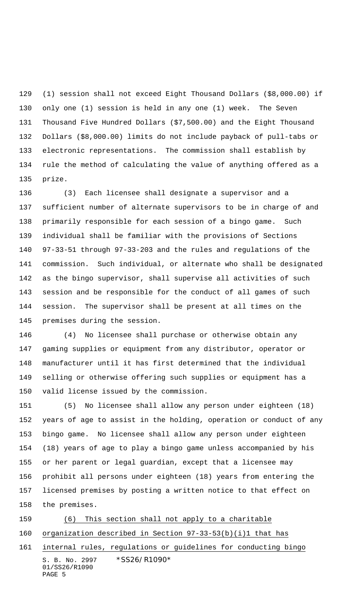(1) session shall not exceed Eight Thousand Dollars (\$8,000.00) if only one (1) session is held in any one (1) week. The Seven Thousand Five Hundred Dollars (\$7,500.00) and the Eight Thousand Dollars (\$8,000.00) limits do not include payback of pull-tabs or electronic representations. The commission shall establish by rule the method of calculating the value of anything offered as a prize.

 (3) Each licensee shall designate a supervisor and a sufficient number of alternate supervisors to be in charge of and primarily responsible for each session of a bingo game. Such individual shall be familiar with the provisions of Sections 97-33-51 through 97-33-203 and the rules and regulations of the commission. Such individual, or alternate who shall be designated as the bingo supervisor, shall supervise all activities of such session and be responsible for the conduct of all games of such session. The supervisor shall be present at all times on the premises during the session.

 (4) No licensee shall purchase or otherwise obtain any gaming supplies or equipment from any distributor, operator or manufacturer until it has first determined that the individual selling or otherwise offering such supplies or equipment has a valid license issued by the commission.

 (5) No licensee shall allow any person under eighteen (18) years of age to assist in the holding, operation or conduct of any bingo game. No licensee shall allow any person under eighteen (18) years of age to play a bingo game unless accompanied by his or her parent or legal guardian, except that a licensee may prohibit all persons under eighteen (18) years from entering the licensed premises by posting a written notice to that effect on the premises.

 (6) This section shall not apply to a charitable organization described in Section 97-33-53(b)(i)1 that has

S. B. No. 2997 \* SS26/R1090\* 01/SS26/R1090 PAGE 5 internal rules, regulations or guidelines for conducting bingo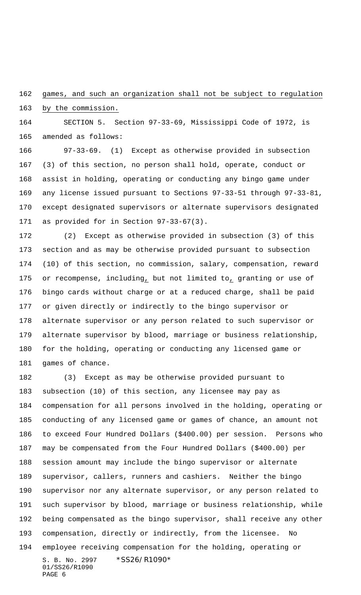games, and such an organization shall not be subject to regulation

by the commission.

 SECTION 5. Section 97-33-69, Mississippi Code of 1972, is amended as follows:

 97-33-69. (1) Except as otherwise provided in subsection (3) of this section, no person shall hold, operate, conduct or assist in holding, operating or conducting any bingo game under any license issued pursuant to Sections 97-33-51 through 97-33-81, except designated supervisors or alternate supervisors designated as provided for in Section 97-33-67(3).

 (2) Except as otherwise provided in subsection (3) of this section and as may be otherwise provided pursuant to subsection (10) of this section, no commission, salary, compensation, reward or recompense, including, but not limited to, granting or use of bingo cards without charge or at a reduced charge, shall be paid or given directly or indirectly to the bingo supervisor or alternate supervisor or any person related to such supervisor or alternate supervisor by blood, marriage or business relationship, for the holding, operating or conducting any licensed game or games of chance.

S. B. No. 2997 \*SS26/R1090\* 01/SS26/R1090 (3) Except as may be otherwise provided pursuant to subsection (10) of this section, any licensee may pay as compensation for all persons involved in the holding, operating or conducting of any licensed game or games of chance, an amount not to exceed Four Hundred Dollars (\$400.00) per session. Persons who may be compensated from the Four Hundred Dollars (\$400.00) per session amount may include the bingo supervisor or alternate supervisor, callers, runners and cashiers. Neither the bingo supervisor nor any alternate supervisor, or any person related to such supervisor by blood, marriage or business relationship, while being compensated as the bingo supervisor, shall receive any other compensation, directly or indirectly, from the licensee. No employee receiving compensation for the holding, operating or

```
PAGE 6
```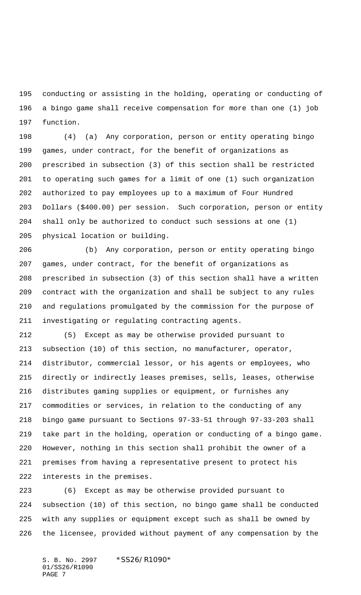conducting or assisting in the holding, operating or conducting of a bingo game shall receive compensation for more than one (1) job function.

 (4) (a) Any corporation, person or entity operating bingo games, under contract, for the benefit of organizations as prescribed in subsection (3) of this section shall be restricted to operating such games for a limit of one (1) such organization authorized to pay employees up to a maximum of Four Hundred Dollars (\$400.00) per session. Such corporation, person or entity shall only be authorized to conduct such sessions at one (1) physical location or building.

 (b) Any corporation, person or entity operating bingo games, under contract, for the benefit of organizations as prescribed in subsection (3) of this section shall have a written contract with the organization and shall be subject to any rules and regulations promulgated by the commission for the purpose of investigating or regulating contracting agents.

 (5) Except as may be otherwise provided pursuant to subsection (10) of this section, no manufacturer, operator, distributor, commercial lessor, or his agents or employees, who directly or indirectly leases premises, sells, leases, otherwise distributes gaming supplies or equipment, or furnishes any commodities or services, in relation to the conducting of any bingo game pursuant to Sections 97-33-51 through 97-33-203 shall take part in the holding, operation or conducting of a bingo game. However, nothing in this section shall prohibit the owner of a premises from having a representative present to protect his interests in the premises.

 (6) Except as may be otherwise provided pursuant to subsection (10) of this section, no bingo game shall be conducted with any supplies or equipment except such as shall be owned by the licensee, provided without payment of any compensation by the

S. B. No. 2997 \*SS26/R1090\* 01/SS26/R1090 PAGE 7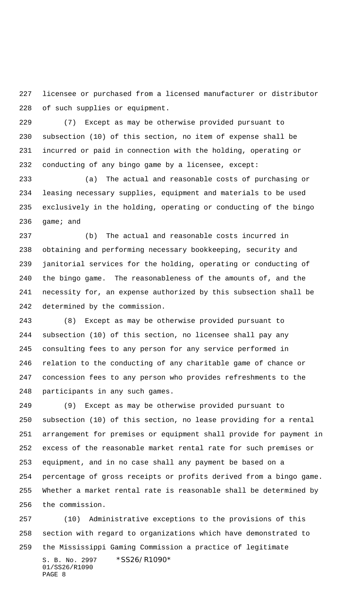licensee or purchased from a licensed manufacturer or distributor of such supplies or equipment.

 (7) Except as may be otherwise provided pursuant to subsection (10) of this section, no item of expense shall be incurred or paid in connection with the holding, operating or conducting of any bingo game by a licensee, except:

 (a) The actual and reasonable costs of purchasing or leasing necessary supplies, equipment and materials to be used exclusively in the holding, operating or conducting of the bingo game; and

 (b) The actual and reasonable costs incurred in obtaining and performing necessary bookkeeping, security and janitorial services for the holding, operating or conducting of the bingo game. The reasonableness of the amounts of, and the necessity for, an expense authorized by this subsection shall be determined by the commission.

 (8) Except as may be otherwise provided pursuant to subsection (10) of this section, no licensee shall pay any consulting fees to any person for any service performed in relation to the conducting of any charitable game of chance or concession fees to any person who provides refreshments to the participants in any such games.

 (9) Except as may be otherwise provided pursuant to subsection (10) of this section, no lease providing for a rental arrangement for premises or equipment shall provide for payment in excess of the reasonable market rental rate for such premises or equipment, and in no case shall any payment be based on a percentage of gross receipts or profits derived from a bingo game. Whether a market rental rate is reasonable shall be determined by the commission.

S. B. No. 2997 \* SS26/R1090\* (10) Administrative exceptions to the provisions of this section with regard to organizations which have demonstrated to the Mississippi Gaming Commission a practice of legitimate

```
01/SS26/R1090
PAGE 8
```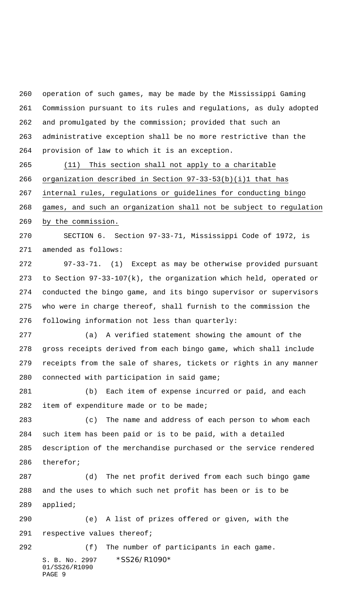operation of such games, may be made by the Mississippi Gaming Commission pursuant to its rules and regulations, as duly adopted and promulgated by the commission; provided that such an administrative exception shall be no more restrictive than the provision of law to which it is an exception.

 (11) This section shall not apply to a charitable organization described in Section 97-33-53(b)(i)1 that has internal rules, regulations or guidelines for conducting bingo games, and such an organization shall not be subject to regulation

by the commission.

 SECTION 6. Section 97-33-71, Mississippi Code of 1972, is amended as follows:

 97-33-71. (1) Except as may be otherwise provided pursuant to Section 97-33-107(k), the organization which held, operated or conducted the bingo game, and its bingo supervisor or supervisors who were in charge thereof, shall furnish to the commission the following information not less than quarterly:

 (a) A verified statement showing the amount of the gross receipts derived from each bingo game, which shall include receipts from the sale of shares, tickets or rights in any manner connected with participation in said game;

 (b) Each item of expense incurred or paid, and each 282 item of expenditure made or to be made;

 (c) The name and address of each person to whom each such item has been paid or is to be paid, with a detailed description of the merchandise purchased or the service rendered therefor;

 (d) The net profit derived from each such bingo game and the uses to which such net profit has been or is to be applied;

 (e) A list of prizes offered or given, with the respective values thereof;

S. B. No. 2997 \* SS26/R1090\* 01/SS26/R1090 PAGE 9 (f) The number of participants in each game.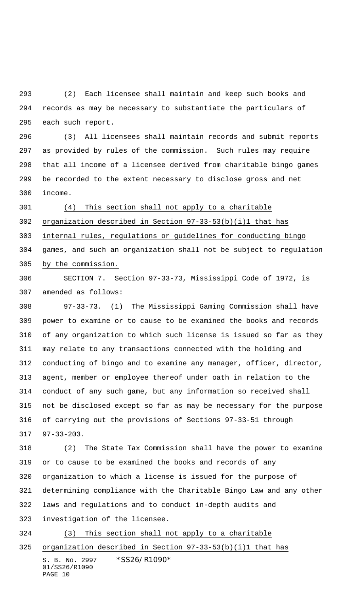(2) Each licensee shall maintain and keep such books and records as may be necessary to substantiate the particulars of each such report.

 (3) All licensees shall maintain records and submit reports as provided by rules of the commission. Such rules may require that all income of a licensee derived from charitable bingo games be recorded to the extent necessary to disclose gross and net income.

 (4) This section shall not apply to a charitable organization described in Section 97-33-53(b)(i)1 that has internal rules, regulations or guidelines for conducting bingo games, and such an organization shall not be subject to regulation by the commission.

 SECTION 7. Section 97-33-73, Mississippi Code of 1972, is amended as follows:

 97-33-73. (1) The Mississippi Gaming Commission shall have power to examine or to cause to be examined the books and records of any organization to which such license is issued so far as they may relate to any transactions connected with the holding and conducting of bingo and to examine any manager, officer, director, agent, member or employee thereof under oath in relation to the conduct of any such game, but any information so received shall not be disclosed except so far as may be necessary for the purpose of carrying out the provisions of Sections 97-33-51 through 97-33-203.

 (2) The State Tax Commission shall have the power to examine or to cause to be examined the books and records of any organization to which a license is issued for the purpose of determining compliance with the Charitable Bingo Law and any other laws and regulations and to conduct in-depth audits and investigation of the licensee.

S. B. No. 2997 \* SS26/R1090\* 01/SS26/R1090 (3) This section shall not apply to a charitable organization described in Section 97-33-53(b)(i)1 that has

```
PAGE 10
```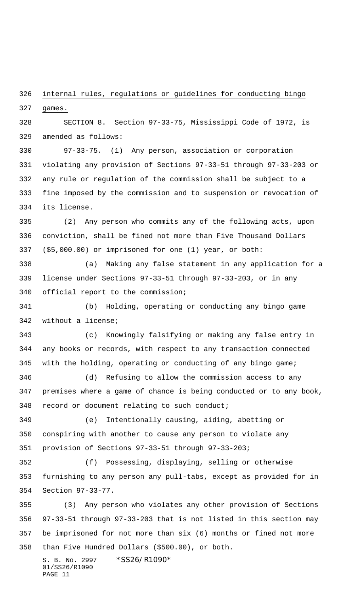internal rules, regulations or guidelines for conducting bingo games.

 SECTION 8. Section 97-33-75, Mississippi Code of 1972, is amended as follows:

 97-33-75. (1) Any person, association or corporation violating any provision of Sections 97-33-51 through 97-33-203 or any rule or regulation of the commission shall be subject to a fine imposed by the commission and to suspension or revocation of its license.

 (2) Any person who commits any of the following acts, upon conviction, shall be fined not more than Five Thousand Dollars (\$5,000.00) or imprisoned for one (1) year, or both:

 (a) Making any false statement in any application for a license under Sections 97-33-51 through 97-33-203, or in any official report to the commission;

 (b) Holding, operating or conducting any bingo game without a license;

 (c) Knowingly falsifying or making any false entry in any books or records, with respect to any transaction connected with the holding, operating or conducting of any bingo game;

 (d) Refusing to allow the commission access to any premises where a game of chance is being conducted or to any book, record or document relating to such conduct;

 (e) Intentionally causing, aiding, abetting or conspiring with another to cause any person to violate any provision of Sections 97-33-51 through 97-33-203;

 (f) Possessing, displaying, selling or otherwise furnishing to any person any pull-tabs, except as provided for in Section 97-33-77.

 (3) Any person who violates any other provision of Sections 97-33-51 through 97-33-203 that is not listed in this section may be imprisoned for not more than six (6) months or fined not more than Five Hundred Dollars (\$500.00), or both.

S. B. No. 2997 \* SS26/R1090\* 01/SS26/R1090 PAGE 11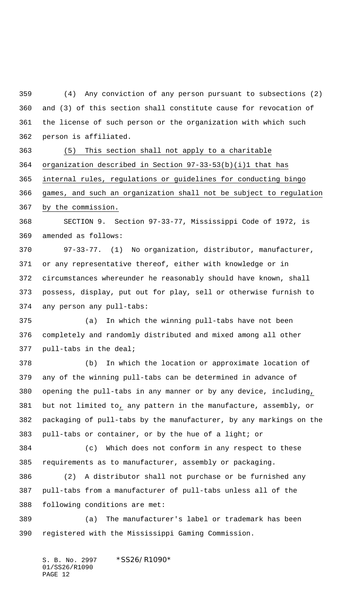(4) Any conviction of any person pursuant to subsections (2) and (3) of this section shall constitute cause for revocation of the license of such person or the organization with which such person is affiliated.

 (5) This section shall not apply to a charitable organization described in Section 97-33-53(b)(i)1 that has internal rules, regulations or guidelines for conducting bingo games, and such an organization shall not be subject to regulation by the commission.

 SECTION 9. Section 97-33-77, Mississippi Code of 1972, is amended as follows:

 97-33-77. (1) No organization, distributor, manufacturer, or any representative thereof, either with knowledge or in circumstances whereunder he reasonably should have known, shall possess, display, put out for play, sell or otherwise furnish to any person any pull-tabs:

 (a) In which the winning pull-tabs have not been completely and randomly distributed and mixed among all other pull-tabs in the deal;

 (b) In which the location or approximate location of any of the winning pull-tabs can be determined in advance of opening the pull-tabs in any manner or by any device, including, but not limited to, any pattern in the manufacture, assembly, or packaging of pull-tabs by the manufacturer, by any markings on the pull-tabs or container, or by the hue of a light; or

 (c) Which does not conform in any respect to these requirements as to manufacturer, assembly or packaging.

 (2) A distributor shall not purchase or be furnished any pull-tabs from a manufacturer of pull-tabs unless all of the following conditions are met:

 (a) The manufacturer's label or trademark has been registered with the Mississippi Gaming Commission.

S. B. No. 2997 \*SS26/R1090\* 01/SS26/R1090 PAGE 12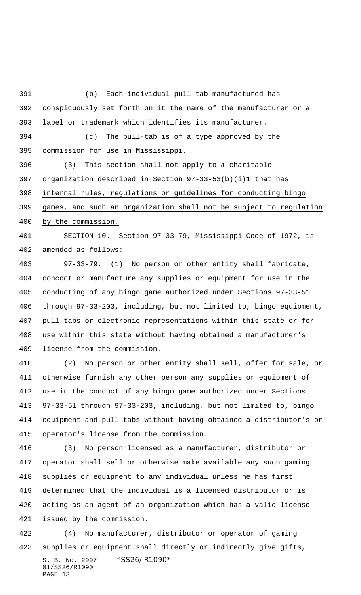(b) Each individual pull-tab manufactured has conspicuously set forth on it the name of the manufacturer or a label or trademark which identifies its manufacturer.

 (c) The pull-tab is of a type approved by the commission for use in Mississippi.

 (3) This section shall not apply to a charitable organization described in Section 97-33-53(b)(i)1 that has internal rules, regulations or guidelines for conducting bingo

 games, and such an organization shall not be subject to regulation by the commission.

 SECTION 10. Section 97-33-79, Mississippi Code of 1972, is amended as follows:

 97-33-79. (1) No person or other entity shall fabricate, concoct or manufacture any supplies or equipment for use in the conducting of any bingo game authorized under Sections 97-33-51 through 97-33-203, including, but not limited to, bingo equipment, pull-tabs or electronic representations within this state or for use within this state without having obtained a manufacturer's license from the commission.

 (2) No person or other entity shall sell, offer for sale, or otherwise furnish any other person any supplies or equipment of use in the conduct of any bingo game authorized under Sections 97-33-51 through 97-33-203, including, but not limited to, bingo equipment and pull-tabs without having obtained a distributor's or operator's license from the commission.

 (3) No person licensed as a manufacturer, distributor or operator shall sell or otherwise make available any such gaming supplies or equipment to any individual unless he has first determined that the individual is a licensed distributor or is acting as an agent of an organization which has a valid license issued by the commission.

S. B. No. 2997 \* SS26/R1090\* 01/SS26/R1090 PAGE 13 (4) No manufacturer, distributor or operator of gaming supplies or equipment shall directly or indirectly give gifts,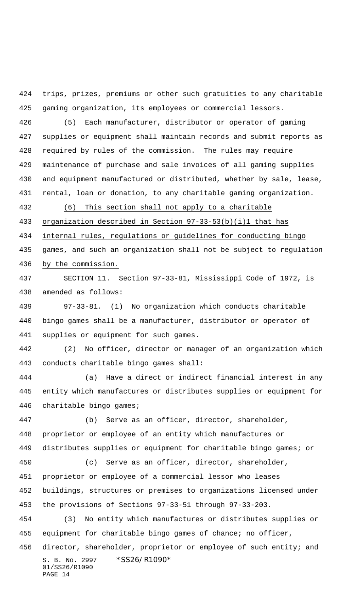trips, prizes, premiums or other such gratuities to any charitable gaming organization, its employees or commercial lessors.

 (5) Each manufacturer, distributor or operator of gaming supplies or equipment shall maintain records and submit reports as required by rules of the commission. The rules may require maintenance of purchase and sale invoices of all gaming supplies and equipment manufactured or distributed, whether by sale, lease, rental, loan or donation, to any charitable gaming organization.

(6) This section shall not apply to a charitable

organization described in Section 97-33-53(b)(i)1 that has

internal rules, regulations or guidelines for conducting bingo

 games, and such an organization shall not be subject to regulation by the commission.

 SECTION 11. Section 97-33-81, Mississippi Code of 1972, is amended as follows:

 97-33-81. (1) No organization which conducts charitable bingo games shall be a manufacturer, distributor or operator of supplies or equipment for such games.

 (2) No officer, director or manager of an organization which conducts charitable bingo games shall:

 (a) Have a direct or indirect financial interest in any entity which manufactures or distributes supplies or equipment for charitable bingo games;

 (b) Serve as an officer, director, shareholder, proprietor or employee of an entity which manufactures or distributes supplies or equipment for charitable bingo games; or (c) Serve as an officer, director, shareholder, proprietor or employee of a commercial lessor who leases

 buildings, structures or premises to organizations licensed under the provisions of Sections 97-33-51 through 97-33-203.

 (3) No entity which manufactures or distributes supplies or equipment for charitable bingo games of chance; no officer,

S. B. No. 2997 \* SS26/R1090\* 01/SS26/R1090 PAGE 14 456 director, shareholder, proprietor or employee of such entity; and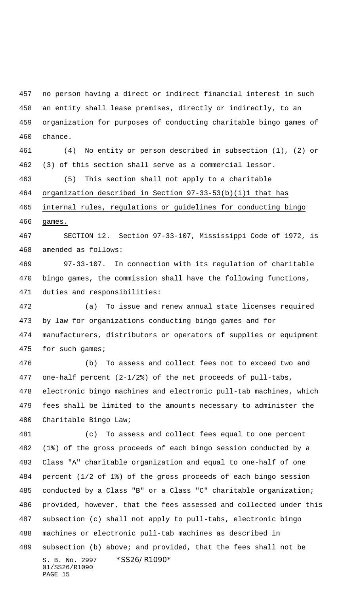no person having a direct or indirect financial interest in such an entity shall lease premises, directly or indirectly, to an organization for purposes of conducting charitable bingo games of chance.

 (4) No entity or person described in subsection (1), (2) or (3) of this section shall serve as a commercial lessor.

(5) This section shall not apply to a charitable

organization described in Section 97-33-53(b)(i)1 that has

 internal rules, regulations or guidelines for conducting bingo games.

 SECTION 12. Section 97-33-107, Mississippi Code of 1972, is amended as follows:

 97-33-107. In connection with its regulation of charitable bingo games, the commission shall have the following functions, duties and responsibilities:

 (a) To issue and renew annual state licenses required by law for organizations conducting bingo games and for manufacturers, distributors or operators of supplies or equipment for such games;

 (b) To assess and collect fees not to exceed two and one-half percent (2-1/2%) of the net proceeds of pull-tabs, electronic bingo machines and electronic pull-tab machines, which fees shall be limited to the amounts necessary to administer the Charitable Bingo Law;

S. B. No. 2997 \* SS26/R1090\* 01/SS26/R1090 PAGE 15 (c) To assess and collect fees equal to one percent (1%) of the gross proceeds of each bingo session conducted by a Class "A" charitable organization and equal to one-half of one percent (1/2 of 1%) of the gross proceeds of each bingo session conducted by a Class "B" or a Class "C" charitable organization; provided, however, that the fees assessed and collected under this subsection (c) shall not apply to pull-tabs, electronic bingo machines or electronic pull-tab machines as described in subsection (b) above; and provided, that the fees shall not be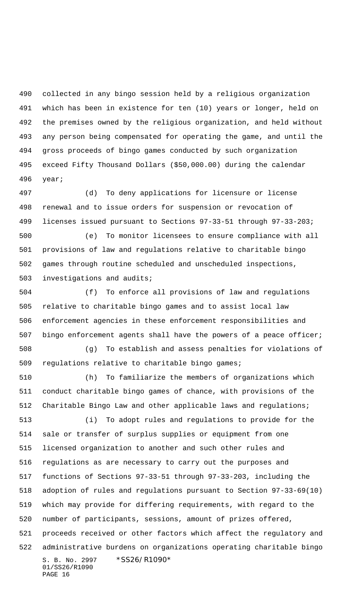collected in any bingo session held by a religious organization which has been in existence for ten (10) years or longer, held on the premises owned by the religious organization, and held without any person being compensated for operating the game, and until the gross proceeds of bingo games conducted by such organization exceed Fifty Thousand Dollars (\$50,000.00) during the calendar year;

 (d) To deny applications for licensure or license renewal and to issue orders for suspension or revocation of licenses issued pursuant to Sections 97-33-51 through 97-33-203;

 (e) To monitor licensees to ensure compliance with all provisions of law and regulations relative to charitable bingo games through routine scheduled and unscheduled inspections, investigations and audits;

 (f) To enforce all provisions of law and regulations relative to charitable bingo games and to assist local law enforcement agencies in these enforcement responsibilities and bingo enforcement agents shall have the powers of a peace officer;

 (g) To establish and assess penalties for violations of regulations relative to charitable bingo games;

S. B. No. 2997 \* SS26/R1090\* 01/SS26/R1090 PAGE 16 (h) To familiarize the members of organizations which conduct charitable bingo games of chance, with provisions of the Charitable Bingo Law and other applicable laws and regulations; (i) To adopt rules and regulations to provide for the sale or transfer of surplus supplies or equipment from one licensed organization to another and such other rules and regulations as are necessary to carry out the purposes and functions of Sections 97-33-51 through 97-33-203, including the adoption of rules and regulations pursuant to Section 97-33-69(10) which may provide for differing requirements, with regard to the number of participants, sessions, amount of prizes offered, proceeds received or other factors which affect the regulatory and administrative burdens on organizations operating charitable bingo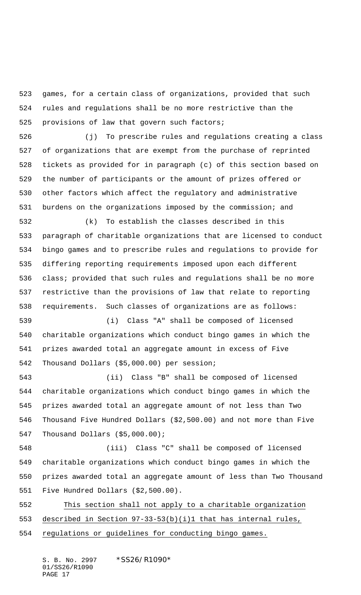games, for a certain class of organizations, provided that such rules and regulations shall be no more restrictive than the 525 provisions of law that govern such factors;

 (j) To prescribe rules and regulations creating a class of organizations that are exempt from the purchase of reprinted tickets as provided for in paragraph (c) of this section based on the number of participants or the amount of prizes offered or other factors which affect the regulatory and administrative burdens on the organizations imposed by the commission; and

 (k) To establish the classes described in this paragraph of charitable organizations that are licensed to conduct bingo games and to prescribe rules and regulations to provide for differing reporting requirements imposed upon each different class; provided that such rules and regulations shall be no more restrictive than the provisions of law that relate to reporting requirements. Such classes of organizations are as follows:

 (i) Class "A" shall be composed of licensed charitable organizations which conduct bingo games in which the prizes awarded total an aggregate amount in excess of Five Thousand Dollars (\$5,000.00) per session;

 (ii) Class "B" shall be composed of licensed charitable organizations which conduct bingo games in which the prizes awarded total an aggregate amount of not less than Two Thousand Five Hundred Dollars (\$2,500.00) and not more than Five Thousand Dollars (\$5,000.00);

 (iii) Class "C" shall be composed of licensed charitable organizations which conduct bingo games in which the prizes awarded total an aggregate amount of less than Two Thousand Five Hundred Dollars (\$2,500.00).

 This section shall not apply to a charitable organization described in Section 97-33-53(b)(i)1 that has internal rules, regulations or guidelines for conducting bingo games.

S. B. No. 2997 \*SS26/R1090\* 01/SS26/R1090 PAGE 17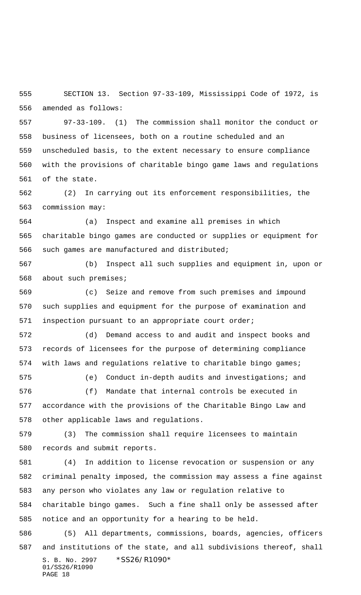SECTION 13. Section 97-33-109, Mississippi Code of 1972, is amended as follows:

 97-33-109. (1) The commission shall monitor the conduct or business of licensees, both on a routine scheduled and an unscheduled basis, to the extent necessary to ensure compliance with the provisions of charitable bingo game laws and regulations of the state.

 (2) In carrying out its enforcement responsibilities, the commission may:

 (a) Inspect and examine all premises in which charitable bingo games are conducted or supplies or equipment for such games are manufactured and distributed;

 (b) Inspect all such supplies and equipment in, upon or about such premises;

 (c) Seize and remove from such premises and impound such supplies and equipment for the purpose of examination and inspection pursuant to an appropriate court order;

 (d) Demand access to and audit and inspect books and records of licensees for the purpose of determining compliance with laws and regulations relative to charitable bingo games;

(e) Conduct in-depth audits and investigations; and

 (f) Mandate that internal controls be executed in accordance with the provisions of the Charitable Bingo Law and other applicable laws and regulations.

 (3) The commission shall require licensees to maintain records and submit reports.

 (4) In addition to license revocation or suspension or any criminal penalty imposed, the commission may assess a fine against any person who violates any law or regulation relative to charitable bingo games. Such a fine shall only be assessed after notice and an opportunity for a hearing to be held.

S. B. No. 2997 \* SS26/R1090\* 01/SS26/R1090 PAGE 18 (5) All departments, commissions, boards, agencies, officers and institutions of the state, and all subdivisions thereof, shall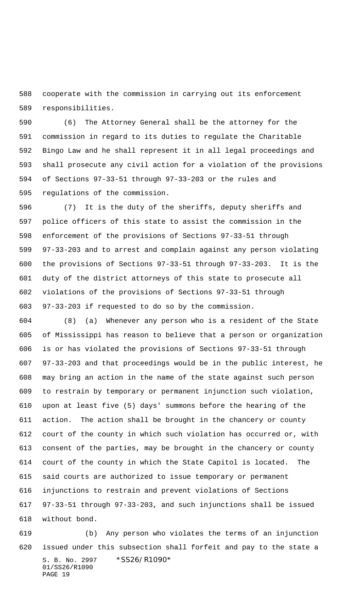cooperate with the commission in carrying out its enforcement responsibilities.

 (6) The Attorney General shall be the attorney for the commission in regard to its duties to regulate the Charitable Bingo Law and he shall represent it in all legal proceedings and shall prosecute any civil action for a violation of the provisions of Sections 97-33-51 through 97-33-203 or the rules and regulations of the commission.

 (7) It is the duty of the sheriffs, deputy sheriffs and police officers of this state to assist the commission in the enforcement of the provisions of Sections 97-33-51 through 97-33-203 and to arrest and complain against any person violating the provisions of Sections 97-33-51 through 97-33-203. It is the duty of the district attorneys of this state to prosecute all violations of the provisions of Sections 97-33-51 through 97-33-203 if requested to do so by the commission.

 (8) (a) Whenever any person who is a resident of the State of Mississippi has reason to believe that a person or organization is or has violated the provisions of Sections 97-33-51 through 97-33-203 and that proceedings would be in the public interest, he may bring an action in the name of the state against such person to restrain by temporary or permanent injunction such violation, upon at least five (5) days' summons before the hearing of the action. The action shall be brought in the chancery or county court of the county in which such violation has occurred or, with consent of the parties, may be brought in the chancery or county court of the county in which the State Capitol is located. The said courts are authorized to issue temporary or permanent injunctions to restrain and prevent violations of Sections 97-33-51 through 97-33-203, and such injunctions shall be issued without bond.

S. B. No. 2997 \* SS26/R1090\* 01/SS26/R1090 PAGE 19 (b) Any person who violates the terms of an injunction issued under this subsection shall forfeit and pay to the state a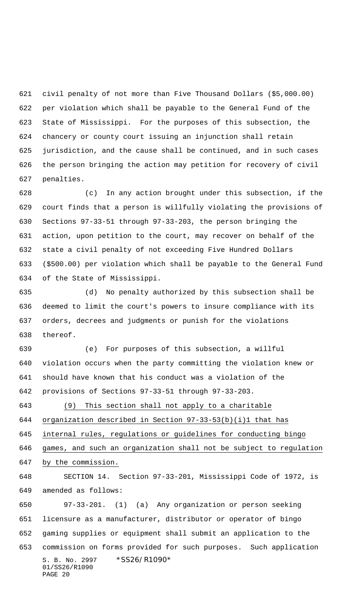civil penalty of not more than Five Thousand Dollars (\$5,000.00) per violation which shall be payable to the General Fund of the State of Mississippi. For the purposes of this subsection, the chancery or county court issuing an injunction shall retain jurisdiction, and the cause shall be continued, and in such cases the person bringing the action may petition for recovery of civil penalties.

 (c) In any action brought under this subsection, if the court finds that a person is willfully violating the provisions of Sections 97-33-51 through 97-33-203, the person bringing the action, upon petition to the court, may recover on behalf of the state a civil penalty of not exceeding Five Hundred Dollars (\$500.00) per violation which shall be payable to the General Fund of the State of Mississippi.

 (d) No penalty authorized by this subsection shall be deemed to limit the court's powers to insure compliance with its orders, decrees and judgments or punish for the violations thereof.

 (e) For purposes of this subsection, a willful violation occurs when the party committing the violation knew or should have known that his conduct was a violation of the provisions of Sections 97-33-51 through 97-33-203.

 (9) This section shall not apply to a charitable organization described in Section 97-33-53(b)(i)1 that has internal rules, regulations or guidelines for conducting bingo games, and such an organization shall not be subject to regulation

by the commission.

 SECTION 14. Section 97-33-201, Mississippi Code of 1972, is amended as follows:

S. B. No. 2997 \* SS26/R1090\* 01/SS26/R1090 PAGE 20 97-33-201. (1) (a) Any organization or person seeking licensure as a manufacturer, distributor or operator of bingo gaming supplies or equipment shall submit an application to the commission on forms provided for such purposes. Such application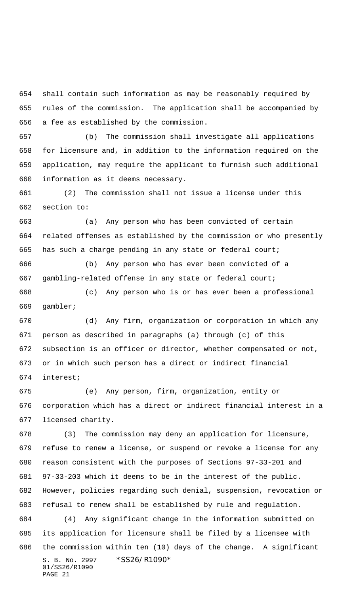shall contain such information as may be reasonably required by rules of the commission. The application shall be accompanied by a fee as established by the commission.

 (b) The commission shall investigate all applications for licensure and, in addition to the information required on the application, may require the applicant to furnish such additional information as it deems necessary.

 (2) The commission shall not issue a license under this section to:

 (a) Any person who has been convicted of certain related offenses as established by the commission or who presently has such a charge pending in any state or federal court;

 (b) Any person who has ever been convicted of a gambling-related offense in any state or federal court;

 (c) Any person who is or has ever been a professional gambler;

 (d) Any firm, organization or corporation in which any person as described in paragraphs (a) through (c) of this subsection is an officer or director, whether compensated or not, or in which such person has a direct or indirect financial interest;

 (e) Any person, firm, organization, entity or corporation which has a direct or indirect financial interest in a licensed charity.

S. B. No. 2997 \* SS26/R1090\* 01/SS26/R1090 PAGE 21 (3) The commission may deny an application for licensure, refuse to renew a license, or suspend or revoke a license for any reason consistent with the purposes of Sections 97-33-201 and 97-33-203 which it deems to be in the interest of the public. However, policies regarding such denial, suspension, revocation or refusal to renew shall be established by rule and regulation. (4) Any significant change in the information submitted on its application for licensure shall be filed by a licensee with the commission within ten (10) days of the change. A significant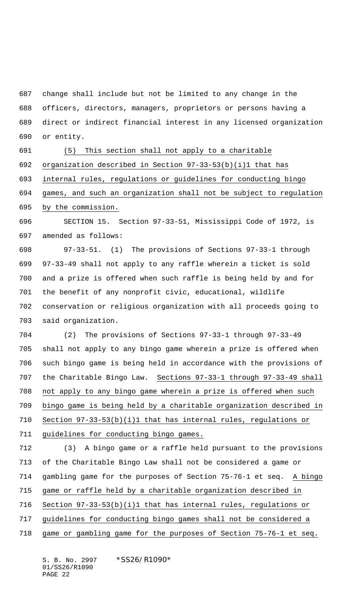change shall include but not be limited to any change in the officers, directors, managers, proprietors or persons having a direct or indirect financial interest in any licensed organization or entity.

 (5) This section shall not apply to a charitable organization described in Section 97-33-53(b)(i)1 that has internal rules, regulations or guidelines for conducting bingo games, and such an organization shall not be subject to regulation by the commission.

 SECTION 15. Section 97-33-51, Mississippi Code of 1972, is amended as follows:

 97-33-51. (1) The provisions of Sections 97-33-1 through 97-33-49 shall not apply to any raffle wherein a ticket is sold and a prize is offered when such raffle is being held by and for the benefit of any nonprofit civic, educational, wildlife conservation or religious organization with all proceeds going to said organization.

 (2) The provisions of Sections 97-33-1 through 97-33-49 shall not apply to any bingo game wherein a prize is offered when such bingo game is being held in accordance with the provisions of the Charitable Bingo Law. Sections 97-33-1 through 97-33-49 shall not apply to any bingo game wherein a prize is offered when such bingo game is being held by a charitable organization described in 710 Section  $97-33-53(b)(i)1$  that has internal rules, regulations or 711 guidelines for conducting bingo games.

 (3) A bingo game or a raffle held pursuant to the provisions of the Charitable Bingo Law shall not be considered a game or gambling game for the purposes of Section 75-76-1 et seq. A bingo game or raffle held by a charitable organization described in Section 97-33-53(b)(i)1 that has internal rules, regulations or guidelines for conducting bingo games shall not be considered a

game or gambling game for the purposes of Section 75-76-1 et seq.